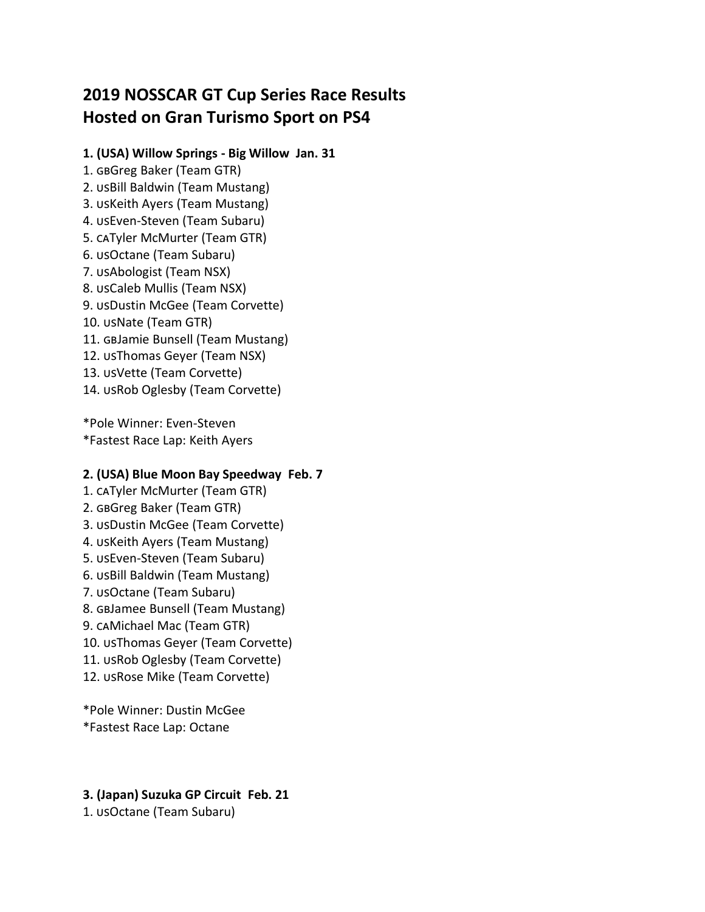# **2019 NOSSCAR GT Cup Series Race Results Hosted on Gran Turismo Sport on PS4**

## **1. (USA) Willow Springs - Big Willow Jan. 31**

1. GBGreg Baker (Team GTR) 2. USBill Baldwin (Team Mustang) 3. USKeith Ayers (Team Mustang) 4. USEven-Steven (Team Subaru) 5. CATyler McMurter (Team GTR) 6. usOctane (Team Subaru) 7. usAbologist (Team NSX) 8. usCaleb Mullis (Team NSX) 9. usDustin McGee (Team Corvette) 10. usNate (Team GTR) 11. GBJamie Bunsell (Team Mustang) 12. usThomas Geyer (Team NSX) 13. usVette (Team Corvette) 14. USRob Oglesby (Team Corvette)

\*Pole Winner: Even-Steven \*Fastest Race Lap: Keith Ayers

# **2. (USA) Blue Moon Bay Speedway Feb. 7**

- 1. CATyler McMurter (Team GTR)
- 2. GBGreg Baker (Team GTR)
- 3. USDustin McGee (Team Corvette)
- 4. USKeith Ayers (Team Mustang)
- 5. usEven-Steven (Team Subaru)
- 6. USBill Baldwin (Team Mustang)
- 7. USOctane (Team Subaru)
- 8. GBJamee Bunsell (Team Mustang)
- 9. caMichael Mac (Team GTR)
- 10. USThomas Geyer (Team Corvette)
- 11. USRob Oglesby (Team Corvette)
- 12. USRose Mike (Team Corvette)

\*Pole Winner: Dustin McGee \*Fastest Race Lap: Octane

# **3. (Japan) Suzuka GP Circuit Feb. 21**

1. usOctane (Team Subaru)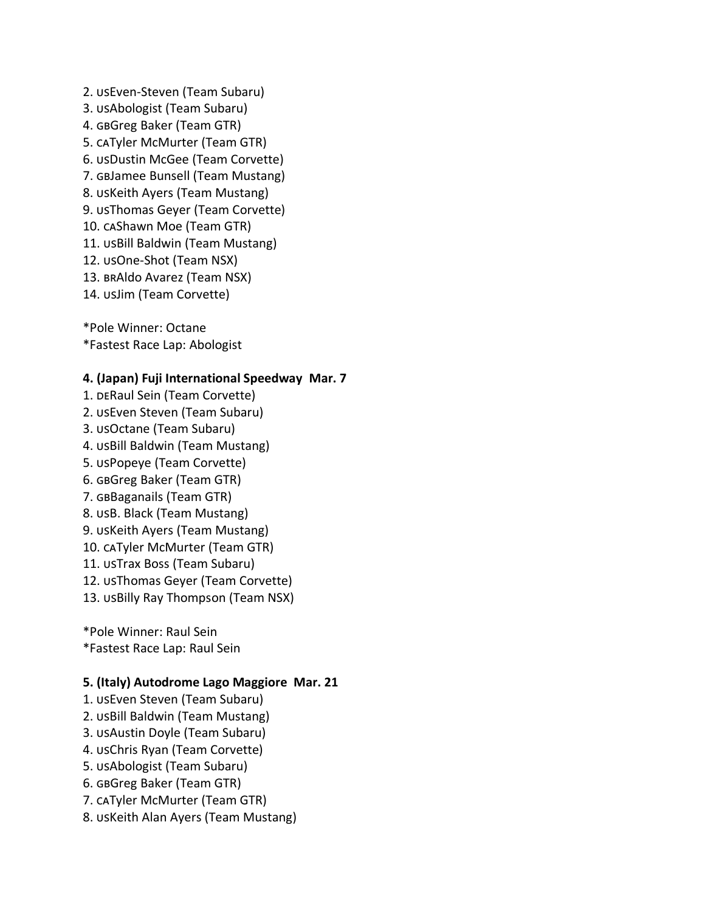2. USEven-Steven (Team Subaru) 3. USAbologist (Team Subaru) 4. GBGreg Baker (Team GTR) 5. CATyler McMurter (Team GTR) 6. usDustin McGee (Team Corvette) 7. GBJamee Bunsell (Team Mustang) 8. UsKeith Ayers (Team Mustang) 9. USThomas Geyer (Team Corvette) 10. caShawn Moe (Team GTR) 11. USBill Baldwin (Team Mustang) 12. usOne-Shot (Team NSX) 13. BRAldo Avarez (Team NSX) 14. usJim (Team Corvette)

\*Pole Winner: Octane \*Fastest Race Lap: Abologist

## **4. (Japan) Fuji International Speedway Mar. 7**

1. DERaul Sein (Team Corvette) 2. USEven Steven (Team Subaru) 3. USOctane (Team Subaru) 4. USBill Baldwin (Team Mustang) 5. USPopeye (Team Corvette) 6. GBGreg Baker (Team GTR) 7. GBBaganails (Team GTR) 8. usB. Black (Team Mustang) 9. USKeith Ayers (Team Mustang) 10. CATyler McMurter (Team GTR) 11. USTrax Boss (Team Subaru) 12. USThomas Geyer (Team Corvette) 13. USBilly Ray Thompson (Team NSX)

\*Pole Winner: Raul Sein \*Fastest Race Lap: Raul Sein

## **5. (Italy) Autodrome Lago Maggiore Mar. 21**

- 1. USEven Steven (Team Subaru)
- 2. USBill Baldwin (Team Mustang)
- 3. USAustin Doyle (Team Subaru)
- 4. USChris Ryan (Team Corvette)
- 5. usAbologist (Team Subaru)
- 6. GBGreg Baker (Team GTR)
- 7. CATyler McMurter (Team GTR)
- 8. USKeith Alan Ayers (Team Mustang)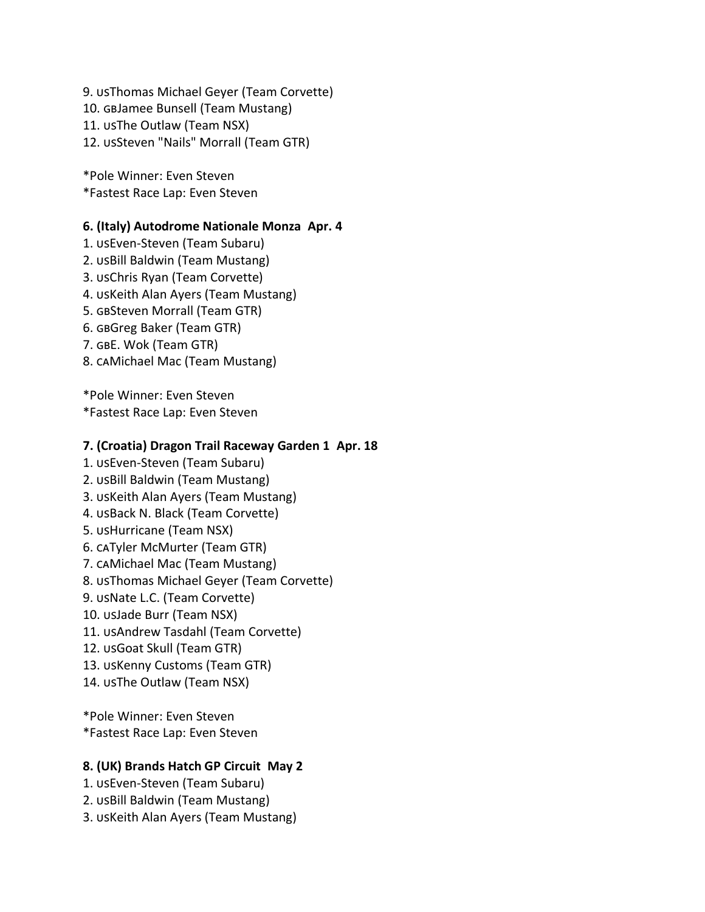9. USThomas Michael Geyer (Team Corvette) 10. GBJamee Bunsell (Team Mustang) 11. USThe Outlaw (Team NSX) 12. USSteven "Nails" Morrall (Team GTR)

\*Pole Winner: Even Steven \*Fastest Race Lap: Even Steven

## **6. (Italy) Autodrome Nationale Monza Apr. 4**

- 1. USEven-Steven (Team Subaru)
- 2. USBill Baldwin (Team Mustang)
- 3. USChris Ryan (Team Corvette)
- 4. USKeith Alan Ayers (Team Mustang)
- 5. GBSteven Morrall (Team GTR)
- 6. GBGreg Baker (Team GTR)
- 7. GBE. Wok (Team GTR)
- 8. CAMichael Mac (Team Mustang)

\*Pole Winner: Even Steven \*Fastest Race Lap: Even Steven

## **7. (Croatia) Dragon Trail Raceway Garden 1 Apr. 18**

- 1. USEven-Steven (Team Subaru)
- 2. USBill Baldwin (Team Mustang)
- 3. USKeith Alan Ayers (Team Mustang)
- 4. USBack N. Black (Team Corvette)
- 5. USHurricane (Team NSX)
- 6. CATyler McMurter (Team GTR)
- 7. CAMichael Mac (Team Mustang)
- 8. USThomas Michael Geyer (Team Corvette)
- 9. USNate L.C. (Team Corvette)
- 10. usJade Burr (Team NSX)
- 11. USAndrew Tasdahl (Team Corvette)
- 12. USGoat Skull (Team GTR)
- 13. USKenny Customs (Team GTR)
- 14. USThe Outlaw (Team NSX)

\*Pole Winner: Even Steven \*Fastest Race Lap: Even Steven

## **8. (UK) Brands Hatch GP Circuit May 2**

- 1. USEven-Steven (Team Subaru)
- 2. USBill Baldwin (Team Mustang)
- 3. USKeith Alan Ayers (Team Mustang)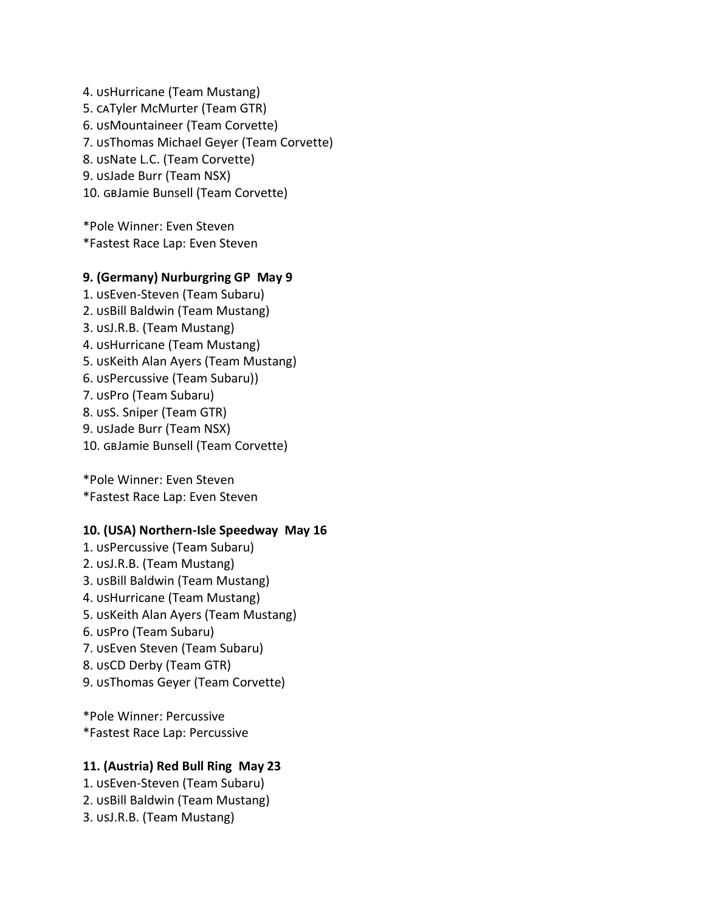4. USHurricane (Team Mustang) 5. CATyler McMurter (Team GTR) 6. USMountaineer (Team Corvette) 7. USThomas Michael Geyer (Team Corvette) 8. USNate L.C. (Team Corvette) 9. usJade Burr (Team NSX) 10. GBJamie Bunsell (Team Corvette)

\*Pole Winner: Even Steven \*Fastest Race Lap: Even Steven

## **9. (Germany) Nurburgring GP May 9**

1. USEven-Steven (Team Subaru) 2. USBill Baldwin (Team Mustang) 3. usJ.R.B. (Team Mustang) 4. USHurricane (Team Mustang) 5. USKeith Alan Ayers (Team Mustang) 6. USPercussive (Team Subaru)) 7. USPro (Team Subaru) 8. usS. Sniper (Team GTR) 9. usJade Burr (Team NSX) 10. GBJamie Bunsell (Team Corvette)

\*Pole Winner: Even Steven \*Fastest Race Lap: Even Steven

#### **10. (USA) Northern-Isle Speedway May 16**

1. USPercussive (Team Subaru) 2. usJ.R.B. (Team Mustang) 3. USBill Baldwin (Team Mustang) 4. USHurricane (Team Mustang) 5. USKeith Alan Ayers (Team Mustang) 6. USPro (Team Subaru) 7. USEven Steven (Team Subaru) 8. USCD Derby (Team GTR) 9. USThomas Geyer (Team Corvette)

\*Pole Winner: Percussive \*Fastest Race Lap: Percussive

## **11. (Austria) Red Bull Ring May 23**

1. USEven-Steven (Team Subaru) 2. USBill Baldwin (Team Mustang) 3. usJ.R.B. (Team Mustang)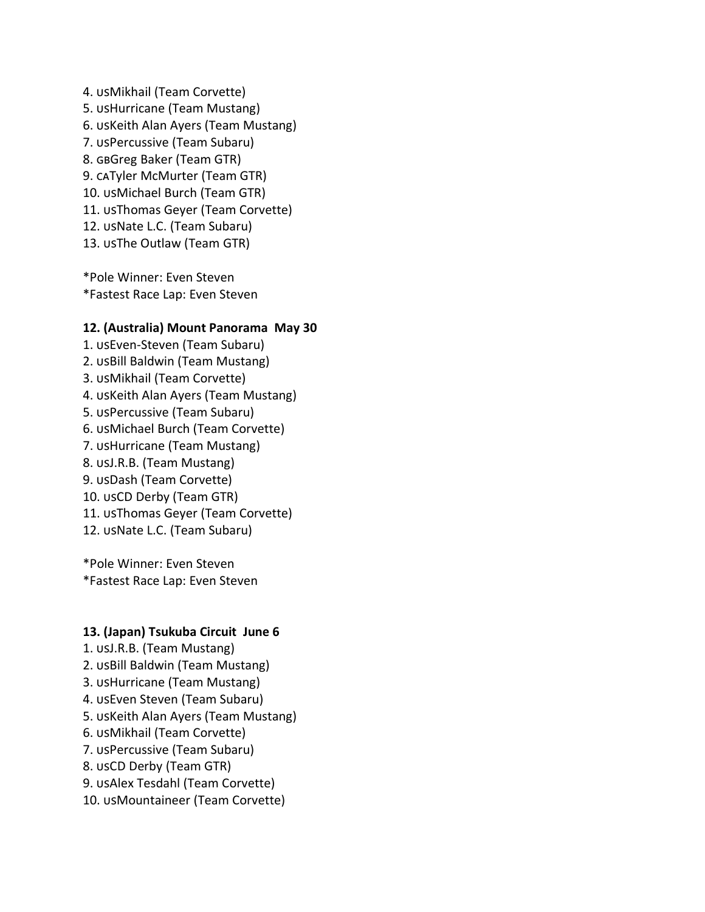4. usMikhail (Team Corvette) 5. USHurricane (Team Mustang) 6. USKeith Alan Ayers (Team Mustang) 7. USPercussive (Team Subaru) 8. GBGreg Baker (Team GTR) 9. CATyler McMurter (Team GTR) 10. usMichael Burch (Team GTR) 11. USThomas Geyer (Team Corvette) 12. USNate L.C. (Team Subaru) 13. USThe Outlaw (Team GTR)

\*Pole Winner: Even Steven \*Fastest Race Lap: Even Steven

#### **12. (Australia) Mount Panorama May 30**

1. USEven-Steven (Team Subaru) 2. USBill Baldwin (Team Mustang) 3. usMikhail (Team Corvette) 4. USKeith Alan Ayers (Team Mustang) 5. USPercussive (Team Subaru) 6. USMichael Burch (Team Corvette) 7. USHurricane (Team Mustang) 8. usJ.R.B. (Team Mustang) 9. usDash (Team Corvette) 10. usCD Derby (Team GTR) 11. USThomas Geyer (Team Corvette) 12. USNate L.C. (Team Subaru)

\*Pole Winner: Even Steven \*Fastest Race Lap: Even Steven

#### **13. (Japan) Tsukuba Circuit June 6**

- 1. USJ.R.B. (Team Mustang)
- 2. USBill Baldwin (Team Mustang)
- 3. USHurricane (Team Mustang)
- 4. USEven Steven (Team Subaru)
- 5. USKeith Alan Ayers (Team Mustang)
- 6. usMikhail (Team Corvette)
- 7. USPercussive (Team Subaru)
- 8. USCD Derby (Team GTR)
- 9. USAlex Tesdahl (Team Corvette)
- 10. USMountaineer (Team Corvette)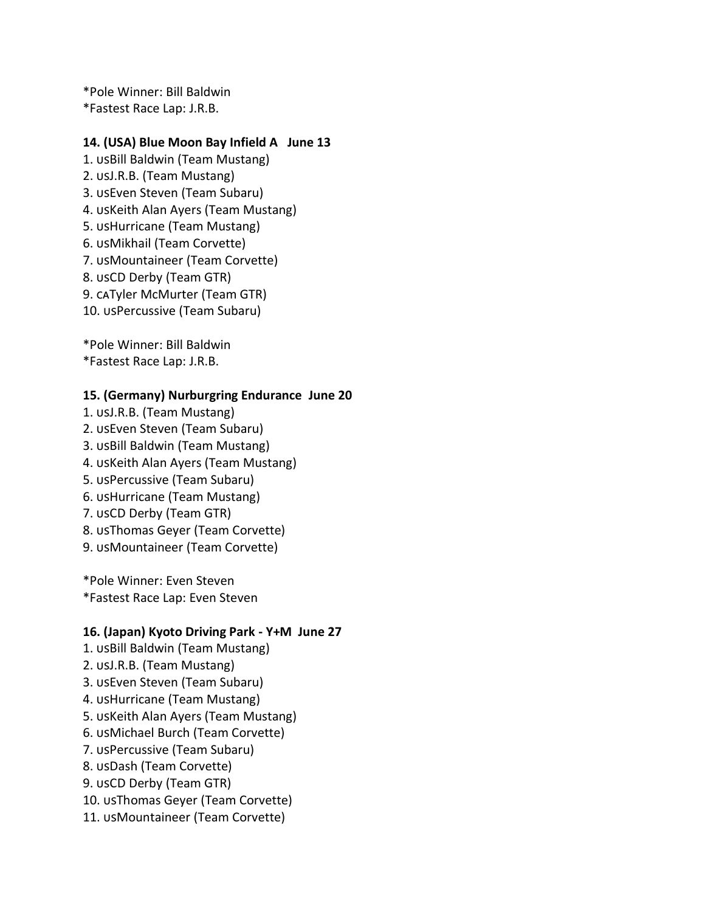\*Pole Winner: Bill Baldwin \*Fastest Race Lap: J.R.B.

## **14. (USA) Blue Moon Bay Infield A June 13**

1. USBill Baldwin (Team Mustang) 2. usJ.R.B. (Team Mustang) 3. USEven Steven (Team Subaru) 4. USKeith Alan Ayers (Team Mustang) 5. usHurricane (Team Mustang) 6. usMikhail (Team Corvette) 7. USMountaineer (Team Corvette) 8. USCD Derby (Team GTR) 9. CATyler McMurter (Team GTR) 10. USPercussive (Team Subaru)

\*Pole Winner: Bill Baldwin

\*Fastest Race Lap: J.R.B.

## **15. (Germany) Nurburgring Endurance June 20**

1. USJ.R.B. (Team Mustang) 2. USEven Steven (Team Subaru) 3. USBill Baldwin (Team Mustang) 4. USKeith Alan Ayers (Team Mustang) 5. USPercussive (Team Subaru) 6. USHurricane (Team Mustang) 7. USCD Derby (Team GTR) 8. USThomas Geyer (Team Corvette) 9. USMountaineer (Team Corvette)

\*Pole Winner: Even Steven \*Fastest Race Lap: Even Steven

#### **16. (Japan) Kyoto Driving Park - Y+M June 27**

1. USBill Baldwin (Team Mustang) 2. usJ.R.B. (Team Mustang) 3. USEven Steven (Team Subaru) 4. USHurricane (Team Mustang) 5. USKeith Alan Ayers (Team Mustang) 6. USMichael Burch (Team Corvette) 7. USPercussive (Team Subaru) 8. usDash (Team Corvette) 9. usCD Derby (Team GTR) 10. USThomas Geyer (Team Corvette) 11. USMountaineer (Team Corvette)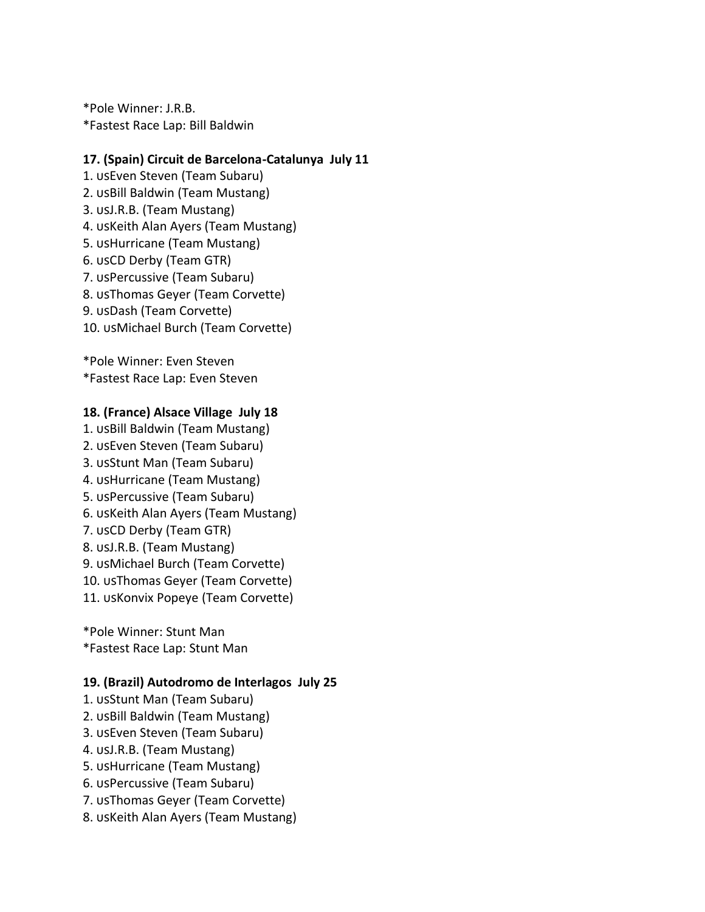\*Pole Winner: J.R.B. \*Fastest Race Lap: Bill Baldwin

## **17. (Spain) Circuit de Barcelona-Catalunya July 11**

1. USEven Steven (Team Subaru) 2. USBill Baldwin (Team Mustang) 3. usJ.R.B. (Team Mustang) 4. USKeith Alan Ayers (Team Mustang) 5. USHurricane (Team Mustang) 6. usCD Derby (Team GTR) 7. USPercussive (Team Subaru) 8. USThomas Geyer (Team Corvette) 9. usDash (Team Corvette) 10. USMichael Burch (Team Corvette)

\*Pole Winner: Even Steven \*Fastest Race Lap: Even Steven

#### **18. (France) Alsace Village July 18**

1. USBill Baldwin (Team Mustang) 2. USEven Steven (Team Subaru) 3. usStunt Man (Team Subaru) 4. USHurricane (Team Mustang) 5. USPercussive (Team Subaru) 6. USKeith Alan Ayers (Team Mustang) 7. USCD Derby (Team GTR) 8. USJ.R.B. (Team Mustang) 9. usMichael Burch (Team Corvette) 10. USThomas Geyer (Team Corvette) 11. USKonvix Popeye (Team Corvette)

\*Pole Winner: Stunt Man \*Fastest Race Lap: Stunt Man

#### **19. (Brazil) Autodromo de Interlagos July 25**

- 1. USStunt Man (Team Subaru) 2. USBill Baldwin (Team Mustang) 3. USEven Steven (Team Subaru) 4. USJ.R.B. (Team Mustang) 5. USHurricane (Team Mustang) 6. USPercussive (Team Subaru) 7. USThomas Geyer (Team Corvette)
- 8. USKeith Alan Ayers (Team Mustang)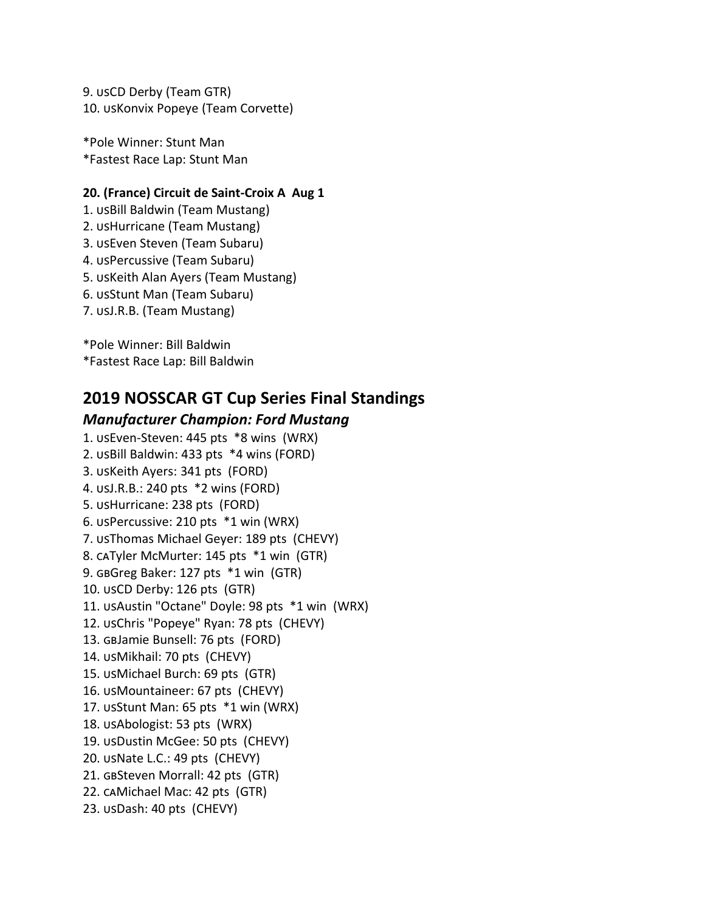9. USCD Derby (Team GTR) 10. USKonvix Popeye (Team Corvette)

\*Pole Winner: Stunt Man \*Fastest Race Lap: Stunt Man

## **20. (France) Circuit de Saint-Croix A Aug 1**

1. USBill Baldwin (Team Mustang) 2. USHurricane (Team Mustang) 3. USEven Steven (Team Subaru) 4. USPercussive (Team Subaru) 5. USKeith Alan Ayers (Team Mustang) 6. usStunt Man (Team Subaru) 7. usJ.R.B. (Team Mustang)

\*Pole Winner: Bill Baldwin \*Fastest Race Lap: Bill Baldwin

# **2019 NOSSCAR GT Cup Series Final Standings**

# *Manufacturer Champion: Ford Mustang*

1. USEven-Steven: 445 pts \*8 wins (WRX) 2. USBill Baldwin: 433 pts \*4 wins (FORD) 3. USKeith Ayers: 341 pts (FORD) 4. usJ.R.B.: 240 pts  $*2$  wins (FORD) 5. usHurricane: 238 pts (FORD) 6. USPercussive: 210 pts  $*1$  win (WRX) 7. USThomas Michael Geyer: 189 pts (CHEVY) 8. CATyler McMurter: 145 pts \*1 win (GTR) 9. GBGreg Baker: 127 pts \*1 win (GTR) 10. USCD Derby: 126 pts (GTR) 11. USAustin "Octane" Doyle: 98 pts \*1 win (WRX) 12. USChris "Popeye" Ryan: 78 pts (CHEVY) 13. GBJamie Bunsell: 76 pts (FORD) 14. usMikhail: 70 pts (CHEVY) 15. USMichael Burch: 69 pts (GTR) 16. USMountaineer: 67 pts (CHEVY) 17. USStunt Man: 65 pts  $*1$  win (WRX) 18. usAbologist: 53 pts (WRX) 19. usDustin McGee: 50 pts (CHEVY) 20. USNate L.C.: 49 pts (CHEVY) 21. GBSteven Morrall: 42 pts (GTR) 22. CAMichael Mac: 42 pts (GTR) 23. usDash: 40 pts (CHEVY)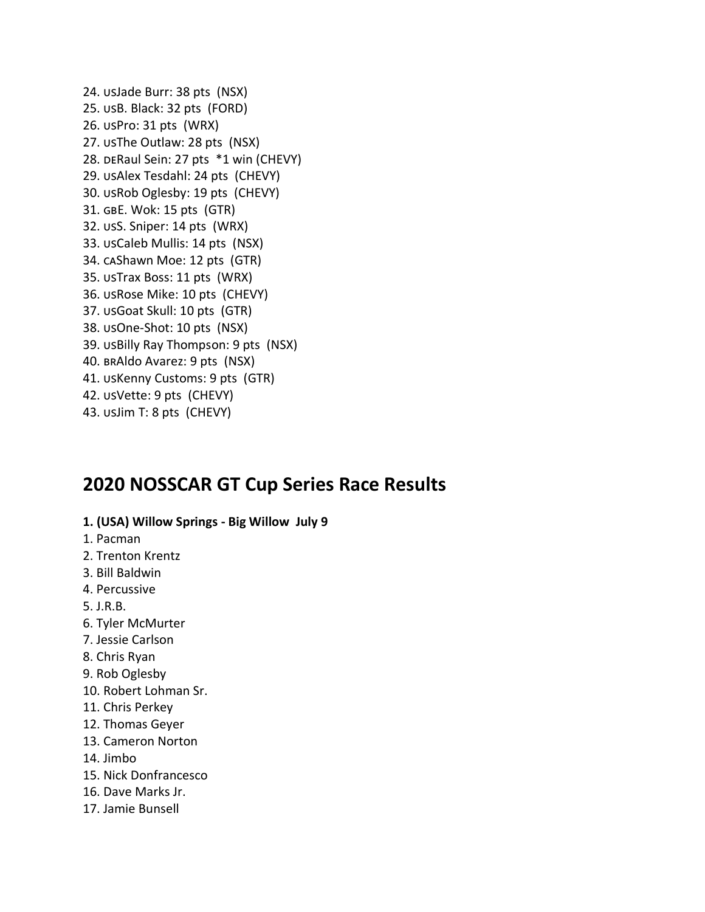24. usJade Burr: 38 pts (NSX) 25. usB. Black: 32 pts (FORD) 26. usPro: 31 pts (WRX) 27. usThe Outlaw: 28 pts (NSX) 28. DERaul Sein: 27 pts \*1 win (CHEVY) 29. usAlex Tesdahl: 24 pts (CHEVY) 30. usRob Oglesby: 19 pts (CHEVY) 31. GBE. Wok: 15 pts (GTR) 32. usS. Sniper: 14 pts (WRX) 33. usCaleb Mullis: 14 pts (NSX) 34. caShawn Moe: 12 pts (GTR) 35. USTrax Boss: 11 pts (WRX) 36. USRose Mike: 10 pts (CHEVY) 37. USGoat Skull: 10 pts (GTR) 38. usOne-Shot: 10 pts (NSX) 39. USBilly Ray Thompson: 9 pts (NSX) 40. BRAldo Avarez: 9 pts (NSX) 41. USKenny Customs: 9 pts (GTR) 42. usVette: 9 pts (CHEVY) 43. usJim T: 8 pts (CHEVY)

# **2020 NOSSCAR GT Cup Series Race Results**

## **1. (USA) Willow Springs - Big Willow July 9**

- 1. Pacman
- 2. Trenton Krentz
- 3. Bill Baldwin
- 4. Percussive
- 5. J.R.B.
- 6. Tyler McMurter
- 7. Jessie Carlson
- 8. Chris Ryan
- 9. Rob Oglesby
- 10. Robert Lohman Sr.
- 11. Chris Perkey
- 12. Thomas Geyer
- 13. Cameron Norton
- 14. Jimbo
- 15. Nick Donfrancesco
- 16. Dave Marks Jr.
- 17. Jamie Bunsell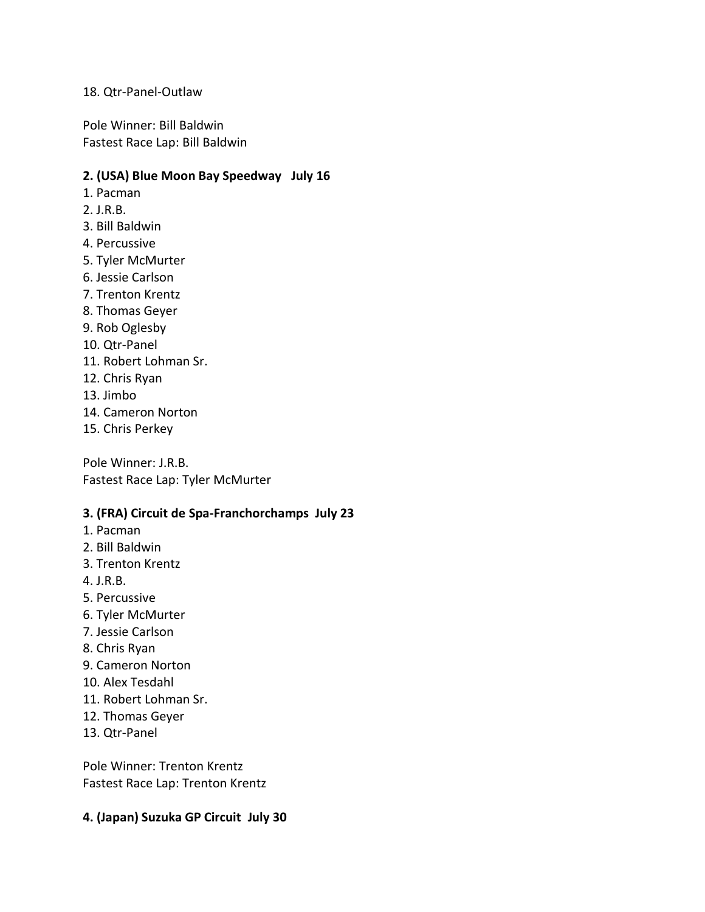## 18. Qtr-Panel-Outlaw

Pole Winner: Bill Baldwin Fastest Race Lap: Bill Baldwin

## **2. (USA) Blue Moon Bay Speedway July 16**

- 1. Pacman
- 2. J.R.B.
- 3. Bill Baldwin
- 4. Percussive
- 5. Tyler McMurter
- 6. Jessie Carlson
- 7. Trenton Krentz
- 8. Thomas Geyer
- 9. Rob Oglesby
- 10. Qtr-Panel
- 11. Robert Lohman Sr.
- 12. Chris Ryan
- 13. Jimbo
- 14. Cameron Norton
- 15. Chris Perkey

Pole Winner: J.R.B. Fastest Race Lap: Tyler McMurter

## **3. (FRA) Circuit de Spa-Franchorchamps July 23**

- 1. Pacman
- 2. Bill Baldwin
- 3. Trenton Krentz
- 4. J.R.B.
- 5. Percussive
- 6. Tyler McMurter
- 7. Jessie Carlson
- 8. Chris Ryan
- 9. Cameron Norton
- 10. Alex Tesdahl
- 11. Robert Lohman Sr.
- 12. Thomas Geyer
- 13. Qtr-Panel

Pole Winner: Trenton Krentz Fastest Race Lap: Trenton Krentz

## **4. (Japan) Suzuka GP Circuit July 30**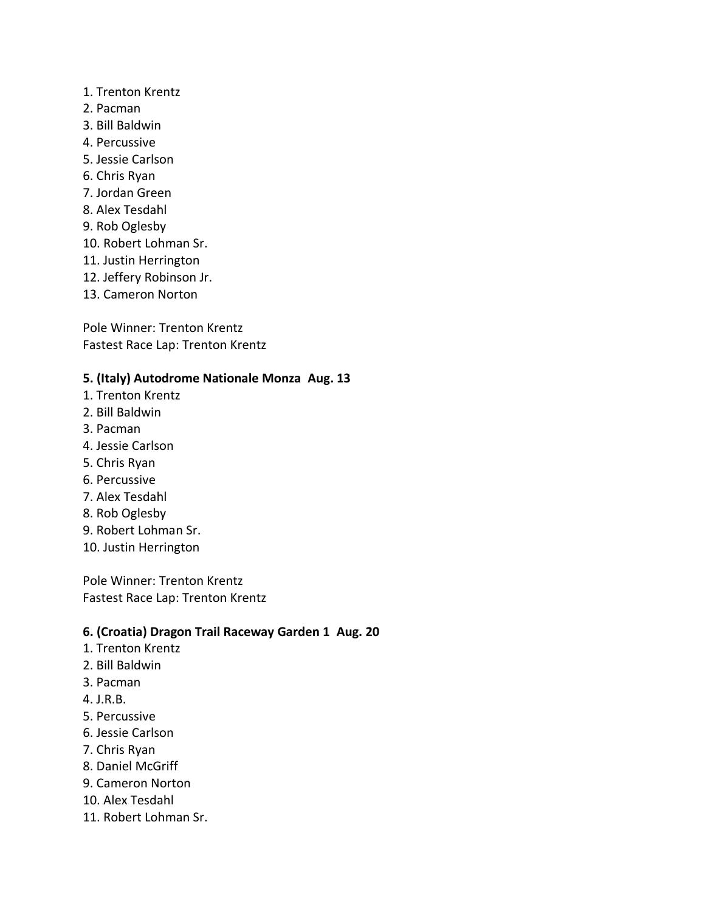- 1. Trenton Krentz
- 2. Pacman
- 3. Bill Baldwin
- 4. Percussive
- 5. Jessie Carlson
- 6. Chris Ryan
- 7. Jordan Green
- 8. Alex Tesdahl
- 9. Rob Oglesby
- 10. Robert Lohman Sr.
- 11. Justin Herrington
- 12. Jeffery Robinson Jr.
- 13. Cameron Norton

Pole Winner: Trenton Krentz Fastest Race Lap: Trenton Krentz

## **5. (Italy) Autodrome Nationale Monza Aug. 13**

- 1. Trenton Krentz
- 2. Bill Baldwin
- 3. Pacman
- 4. Jessie Carlson
- 5. Chris Ryan
- 6. Percussive
- 7. Alex Tesdahl
- 8. Rob Oglesby
- 9. Robert Lohman Sr.
- 10. Justin Herrington

Pole Winner: Trenton Krentz Fastest Race Lap: Trenton Krentz

## **6. (Croatia) Dragon Trail Raceway Garden 1 Aug. 20**

- 1. Trenton Krentz
- 2. Bill Baldwin
- 3. Pacman
- 4. J.R.B.
- 5. Percussive
- 6. Jessie Carlson
- 7. Chris Ryan
- 8. Daniel McGriff
- 9. Cameron Norton
- 10. Alex Tesdahl
- 11. Robert Lohman Sr.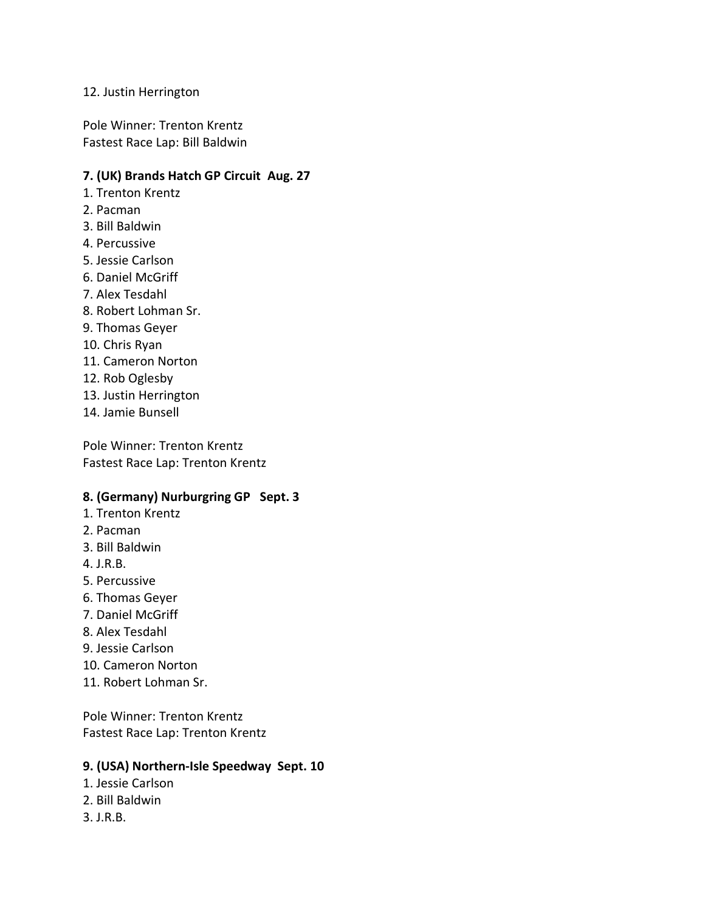## 12. Justin Herrington

Pole Winner: Trenton Krentz Fastest Race Lap: Bill Baldwin

## **7. (UK) Brands Hatch GP Circuit Aug. 27**

- 1. Trenton Krentz
- 2. Pacman
- 3. Bill Baldwin
- 4. Percussive
- 5. Jessie Carlson
- 6. Daniel McGriff
- 7. Alex Tesdahl
- 8. Robert Lohman Sr.
- 9. Thomas Geyer
- 10. Chris Ryan
- 11. Cameron Norton
- 12. Rob Oglesby
- 13. Justin Herrington
- 14. Jamie Bunsell

Pole Winner: Trenton Krentz Fastest Race Lap: Trenton Krentz

#### **8. (Germany) Nurburgring GP Sept. 3**

- 1. Trenton Krentz
- 2. Pacman
- 3. Bill Baldwin
- 4. J.R.B.
- 5. Percussive
- 6. Thomas Geyer
- 7. Daniel McGriff
- 8. Alex Tesdahl
- 9. Jessie Carlson
- 10. Cameron Norton
- 11. Robert Lohman Sr.

Pole Winner: Trenton Krentz Fastest Race Lap: Trenton Krentz

## **9. (USA) Northern-Isle Speedway Sept. 10**

- 1. Jessie Carlson
- 2. Bill Baldwin
- 3. J.R.B.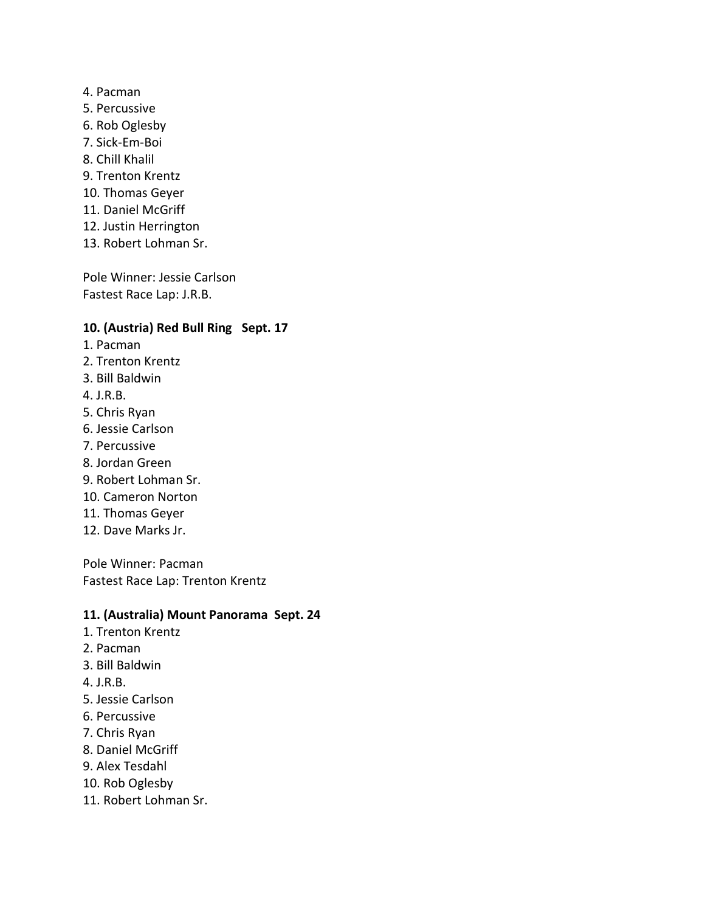- 4. Pacman
- 5. Percussive
- 6. Rob Oglesby
- 7. Sick-Em-Boi
- 8. Chill Khalil
- 9. Trenton Krentz
- 10. Thomas Geyer
- 11. Daniel McGriff
- 12. Justin Herrington
- 13. Robert Lohman Sr.

Pole Winner: Jessie Carlson Fastest Race Lap: J.R.B.

## **10. (Austria) Red Bull Ring Sept. 17**

- 1. Pacman
- 2. Trenton Krentz
- 3. Bill Baldwin
- 4. J.R.B.
- 5. Chris Ryan
- 6. Jessie Carlson
- 7. Percussive
- 8. Jordan Green
- 9. Robert Lohman Sr.
- 10. Cameron Norton
- 11. Thomas Geyer
- 12. Dave Marks Jr.

Pole Winner: Pacman Fastest Race Lap: Trenton Krentz

## **11. (Australia) Mount Panorama Sept. 24**

- 1. Trenton Krentz
- 2. Pacman
- 3. Bill Baldwin
- 4. J.R.B.
- 5. Jessie Carlson
- 6. Percussive
- 7. Chris Ryan
- 8. Daniel McGriff
- 9. Alex Tesdahl
- 10. Rob Oglesby
- 11. Robert Lohman Sr.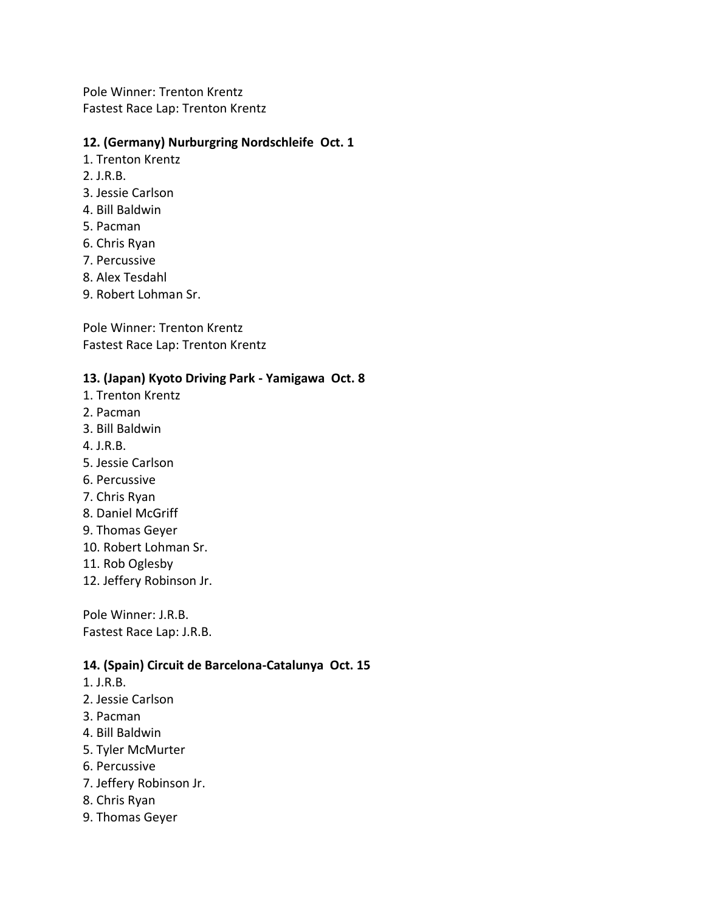Pole Winner: Trenton Krentz Fastest Race Lap: Trenton Krentz

## **12. (Germany) Nurburgring Nordschleife Oct. 1**

- 1. Trenton Krentz
- 2. J.R.B.
- 3. Jessie Carlson
- 4. Bill Baldwin
- 5. Pacman
- 6. Chris Ryan
- 7. Percussive
- 8. Alex Tesdahl
- 9. Robert Lohman Sr.

Pole Winner: Trenton Krentz Fastest Race Lap: Trenton Krentz

## **13. (Japan) Kyoto Driving Park - Yamigawa Oct. 8**

- 1. Trenton Krentz
- 2. Pacman
- 3. Bill Baldwin
- 4. J.R.B.
- 5. Jessie Carlson
- 6. Percussive
- 7. Chris Ryan
- 8. Daniel McGriff
- 9. Thomas Geyer
- 10. Robert Lohman Sr.
- 11. Rob Oglesby
- 12. Jeffery Robinson Jr.

Pole Winner: J.R.B. Fastest Race Lap: J.R.B.

#### **14. (Spain) Circuit de Barcelona-Catalunya Oct. 15**

- 1. J.R.B.
- 2. Jessie Carlson
- 3. Pacman
- 4. Bill Baldwin
- 5. Tyler McMurter
- 6. Percussive
- 7. Jeffery Robinson Jr.
- 8. Chris Ryan
- 9. Thomas Geyer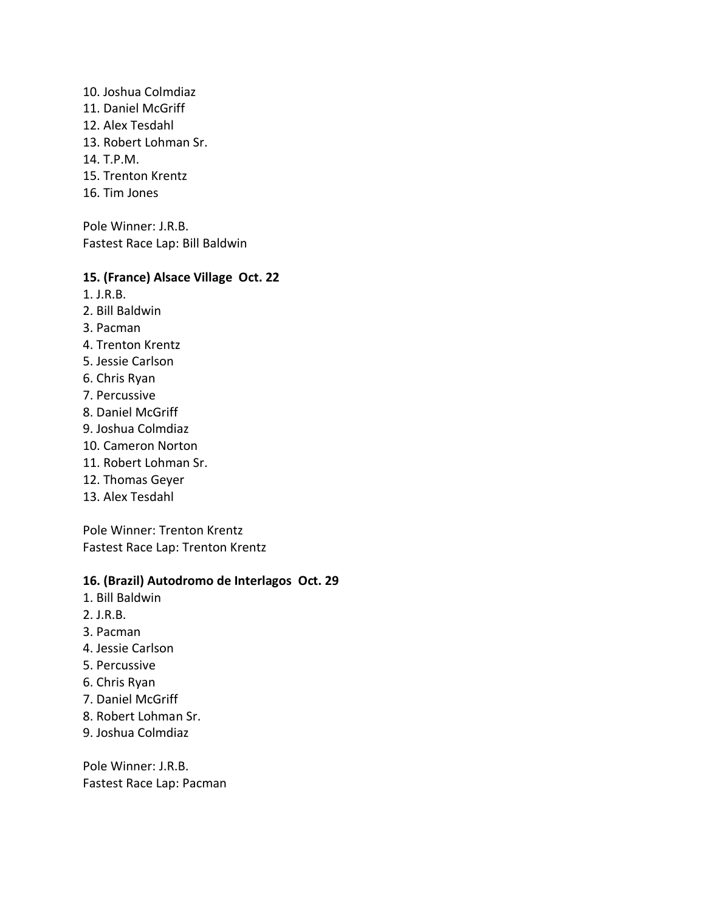- 10. Joshua Colmdiaz
- 11. Daniel McGriff
- 12. Alex Tesdahl
- 13. Robert Lohman Sr.
- 14. T.P.M.
- 15. Trenton Krentz
- 16. Tim Jones

Pole Winner: J.R.B. Fastest Race Lap: Bill Baldwin

## **15. (France) Alsace Village Oct. 22**

- 1. J.R.B.
- 2. Bill Baldwin
- 3. Pacman
- 4. Trenton Krentz
- 5. Jessie Carlson
- 6. Chris Ryan
- 7. Percussive
- 8. Daniel McGriff
- 9. Joshua Colmdiaz
- 10. Cameron Norton
- 11. Robert Lohman Sr.
- 12. Thomas Geyer
- 13. Alex Tesdahl

Pole Winner: Trenton Krentz Fastest Race Lap: Trenton Krentz

## **16. (Brazil) Autodromo de Interlagos Oct. 29**

- 1. Bill Baldwin
- 2. J.R.B.
- 3. Pacman
- 4. Jessie Carlson
- 5. Percussive
- 6. Chris Ryan
- 7. Daniel McGriff
- 8. Robert Lohman Sr.
- 9. Joshua Colmdiaz

Pole Winner: J.R.B. Fastest Race Lap: Pacman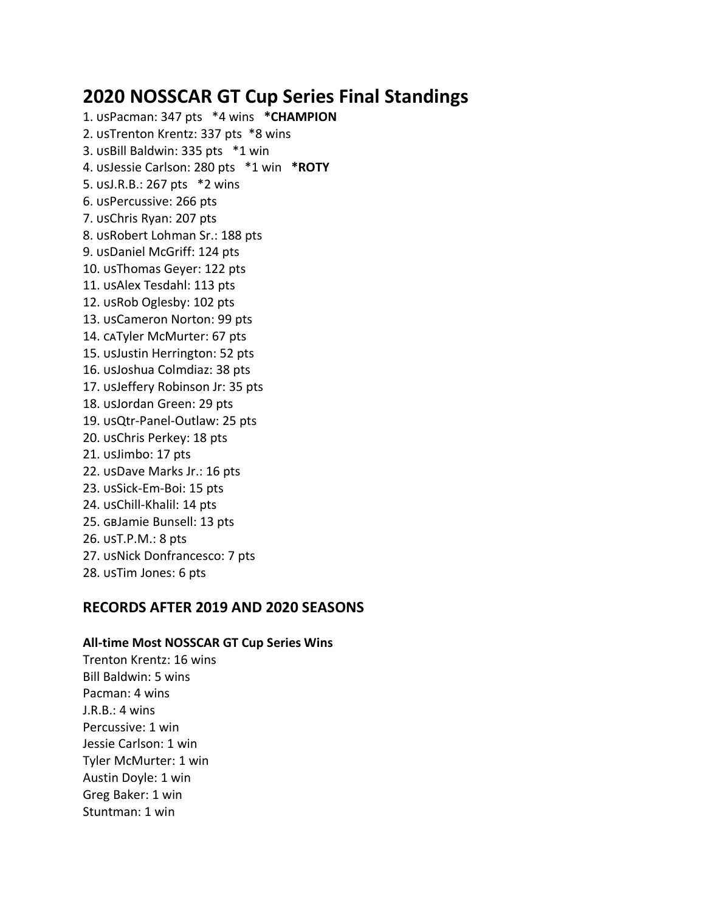# **2020 NOSSCAR GT Cup Series Final Standings**

1. USPacman: 347 pts  $*4$  wins  $*$ **CHAMPION** 2. USTrenton Krentz: 337 pts \*8 wins 3. USBill Baldwin: 335 pts \*1 win 4. Jessie Carlson: 280 pts \*1 win **\*ROTY** 5. usJ.R.B.: 267 pts \*2 wins 6. USPercussive: 266 pts 7. USChris Ryan: 207 pts 8. USRobert Lohman Sr.: 188 pts 9. usDaniel McGriff: 124 pts 10. usThomas Geyer: 122 pts 11. USAlex Tesdahl: 113 pts 12. USRob Oglesby: 102 pts 13. USCameron Norton: 99 pts 14. caTyler McMurter: 67 pts 15. UsJustin Herrington: 52 pts 16. usJoshua Colmdiaz: 38 pts 17. USJeffery Robinson Jr: 35 pts 18. usJordan Green: 29 pts 19. usQtr-Panel-Outlaw: 25 pts 20. usChris Perkey: 18 pts 21. usJimbo: 17 pts 22. usDave Marks Jr.: 16 pts 23. usSick-Em-Boi: 15 pts 24. usChill-Khalil: 14 pts 25. GBJamie Bunsell: 13 pts 26. usT.P.M.: 8 pts 27. USNick Donfrancesco: 7 pts 28. usTim Jones: 6 pts

# **RECORDS AFTER 2019 AND 2020 SEASONS**

## **All-time Most NOSSCAR GT Cup Series Wins**

Trenton Krentz: 16 wins Bill Baldwin: 5 wins Pacman: 4 wins J.R.B.: 4 wins Percussive: 1 win Jessie Carlson: 1 win Tyler McMurter: 1 win Austin Doyle: 1 win Greg Baker: 1 win Stuntman: 1 win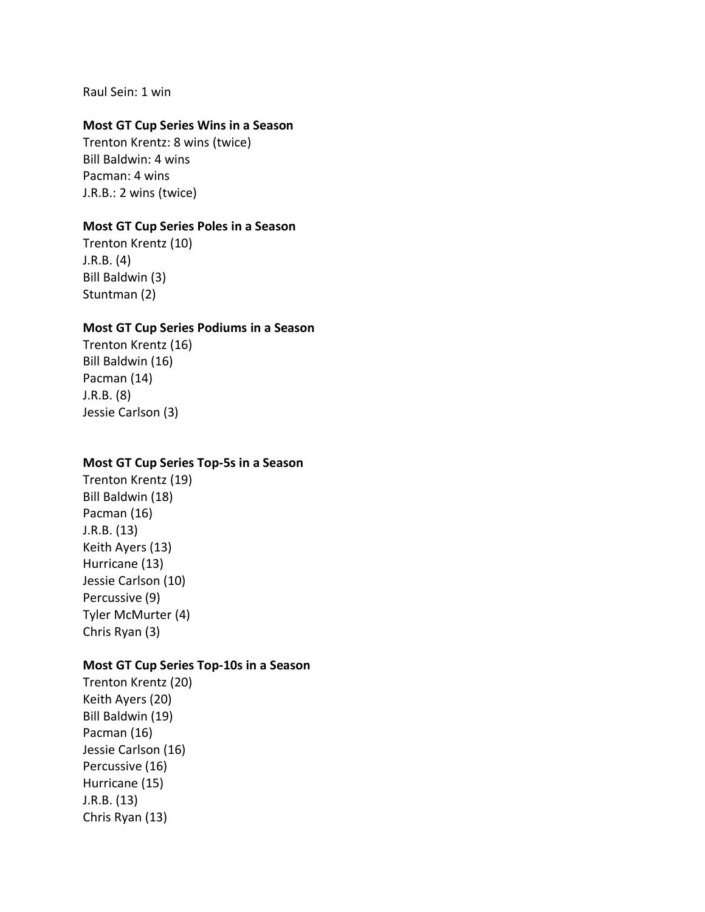Raul Sein: 1 win

## **Most GT Cup Series Wins in a Season**

Trenton Krentz: 8 wins (twice) Bill Baldwin: 4 wins Pacman: 4 wins J.R.B.: 2 wins (twice)

## **Most GT Cup Series Poles in a Season**

Trenton Krentz (10) J.R.B. (4) Bill Baldwin (3) Stuntman (2)

#### **Most GT Cup Series Podiums in a Season**

Trenton Krentz (16) Bill Baldwin (16) Pacman (14) J.R.B. (8) Jessie Carlson (3)

#### **Most GT Cup Series Top-5s in a Season**

Trenton Krentz (19) Bill Baldwin (18) Pacman (16) J.R.B. (13) Keith Ayers (13) Hurricane (13) Jessie Carlson (10) Percussive (9) Tyler McMurter (4) Chris Ryan (3)

## **Most GT Cup Series Top-10s in a Season**

Trenton Krentz (20) Keith Ayers (20) Bill Baldwin (19) Pacman (16) Jessie Carlson (16) Percussive (16) Hurricane (15) J.R.B. (13) Chris Ryan (13)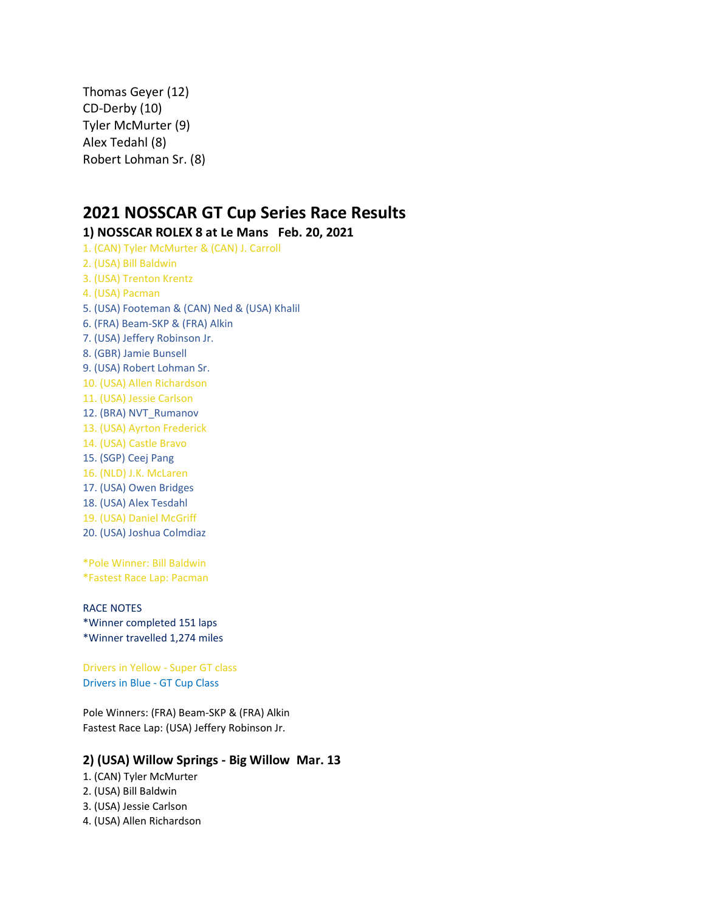Thomas Geyer (12) CD-Derby (10) Tyler McMurter (9) Alex Tedahl (8) Robert Lohman Sr. (8)

# **2021 NOSSCAR GT Cup Series Race Results**

### **1) NOSSCAR ROLEX 8 at Le Mans Feb. 20, 2021**

1. (CAN) Tyler McMurter & (CAN) J. Carroll 2. (USA) Bill Baldwin 3. (USA) Trenton Krentz 4. (USA) Pacman 5. (USA) Footeman & (CAN) Ned & (USA) Khalil 6. (FRA) Beam-SKP & (FRA) Alkin 7. (USA) Jeffery Robinson Jr. 8. (GBR) Jamie Bunsell 9. (USA) Robert Lohman Sr. 10. (USA) Allen Richardson 11. (USA) Jessie Carlson 12. (BRA) NVT\_Rumanov 13. (USA) Ayrton Frederick 14. (USA) Castle Bravo 15. (SGP) Ceej Pang 16. (NLD) J.K. McLaren 17. (USA) Owen Bridges 18. (USA) Alex Tesdahl 19. (USA) Daniel McGriff 20. (USA) Joshua Colmdiaz

\*Pole Winner: Bill Baldwin \*Fastest Race Lap: Pacman

#### RACE NOTES

\*Winner completed 151 laps \*Winner travelled 1,274 miles

Drivers in Yellow - Super GT class Drivers in Blue - GT Cup Class

Pole Winners: (FRA) Beam-SKP & (FRA) Alkin Fastest Race Lap: (USA) Jeffery Robinson Jr.

#### **2) (USA) Willow Springs - Big Willow Mar. 13**

- 1. (CAN) Tyler McMurter
- 2. (USA) Bill Baldwin
- 3. (USA) Jessie Carlson
- 4. (USA) Allen Richardson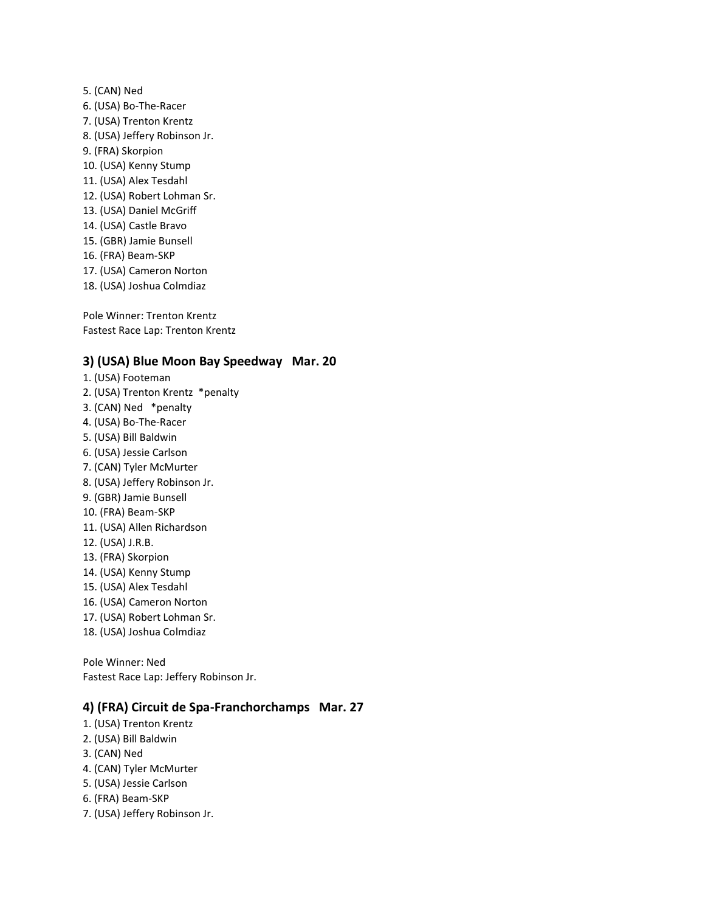5. (CAN) Ned 6. (USA) Bo-The-Racer 7. (USA) Trenton Krentz 8. (USA) Jeffery Robinson Jr. 9. (FRA) Skorpion 10. (USA) Kenny Stump 11. (USA) Alex Tesdahl 12. (USA) Robert Lohman Sr. 13. (USA) Daniel McGriff 14. (USA) Castle Bravo 15. (GBR) Jamie Bunsell 16. (FRA) Beam-SKP 17. (USA) Cameron Norton 18. (USA) Joshua Colmdiaz

Pole Winner: Trenton Krentz Fastest Race Lap: Trenton Krentz

#### **3) (USA) Blue Moon Bay Speedway Mar. 20**

1. (USA) Footeman 2. (USA) Trenton Krentz \*penalty 3. (CAN) Ned \*penalty 4. (USA) Bo-The-Racer 5. (USA) Bill Baldwin 6. (USA) Jessie Carlson 7. (CAN) Tyler McMurter 8. (USA) Jeffery Robinson Jr. 9. (GBR) Jamie Bunsell 10. (FRA) Beam-SKP 11. (USA) Allen Richardson 12. (USA) J.R.B. 13. (FRA) Skorpion 14. (USA) Kenny Stump 15. (USA) Alex Tesdahl 16. (USA) Cameron Norton 17. (USA) Robert Lohman Sr. 18. (USA) Joshua Colmdiaz

Pole Winner: Ned Fastest Race Lap: Jeffery Robinson Jr.

#### **4) (FRA) Circuit de Spa-Franchorchamps Mar. 27**

- 1. (USA) Trenton Krentz
- 2. (USA) Bill Baldwin
- 3. (CAN) Ned
- 4. (CAN) Tyler McMurter
- 5. (USA) Jessie Carlson
- 6. (FRA) Beam-SKP
- 7. (USA) Jeffery Robinson Jr.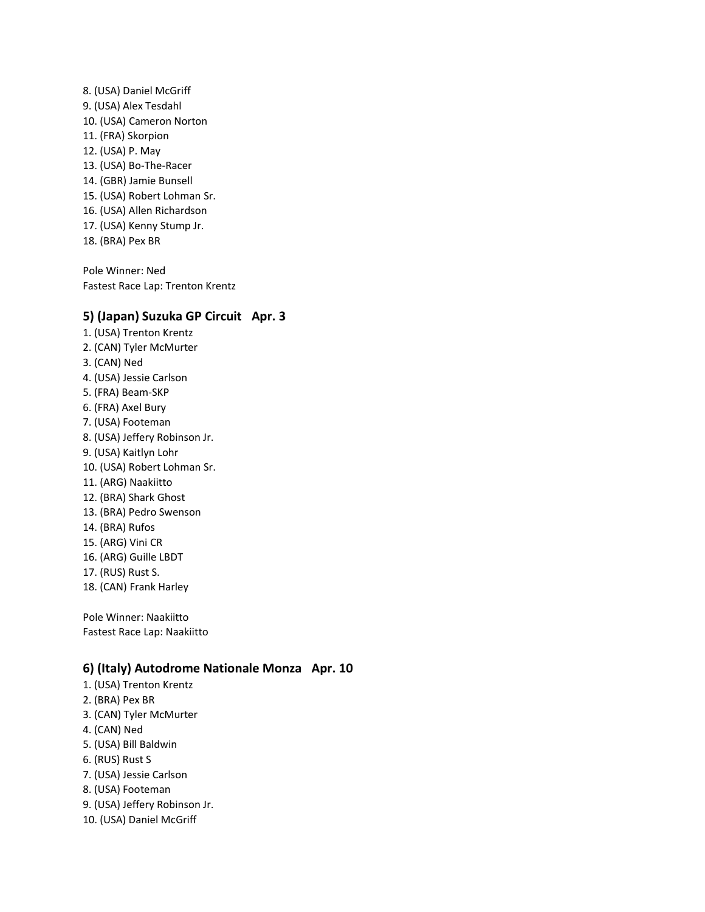8. (USA) Daniel McGriff 9. (USA) Alex Tesdahl 10. (USA) Cameron Norton 11. (FRA) Skorpion 12. (USA) P. May 13. (USA) Bo-The-Racer 14. (GBR) Jamie Bunsell 15. (USA) Robert Lohman Sr. 16. (USA) Allen Richardson 17. (USA) Kenny Stump Jr. 18. (BRA) Pex BR

Pole Winner: Ned Fastest Race Lap: Trenton Krentz

#### **5) (Japan) Suzuka GP Circuit Apr. 3**

1. (USA) Trenton Krentz 2. (CAN) Tyler McMurter 3. (CAN) Ned 4. (USA) Jessie Carlson 5. (FRA) Beam-SKP 6. (FRA) Axel Bury 7. (USA) Footeman 8. (USA) Jeffery Robinson Jr. 9. (USA) Kaitlyn Lohr 10. (USA) Robert Lohman Sr. 11. (ARG) Naakiitto 12. (BRA) Shark Ghost 13. (BRA) Pedro Swenson 14. (BRA) Rufos 15. (ARG) Vini CR 16. (ARG) Guille LBDT 17. (RUS) Rust S. 18. (CAN) Frank Harley

Pole Winner: Naakiitto Fastest Race Lap: Naakiitto

#### **6) (Italy) Autodrome Nationale Monza Apr. 10**

- 1. (USA) Trenton Krentz
- 2. (BRA) Pex BR
- 3. (CAN) Tyler McMurter
- 4. (CAN) Ned
- 5. (USA) Bill Baldwin
- 6. (RUS) Rust S
- 7. (USA) Jessie Carlson
- 8. (USA) Footeman
- 9. (USA) Jeffery Robinson Jr.
- 10. (USA) Daniel McGriff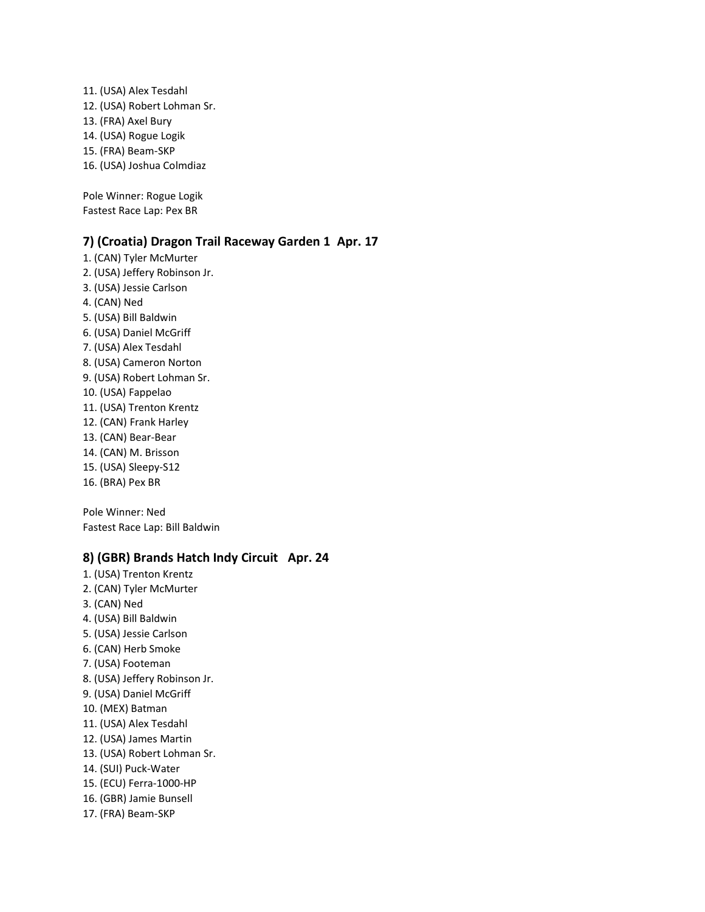11. (USA) Alex Tesdahl 12. (USA) Robert Lohman Sr. 13. (FRA) Axel Bury 14. (USA) Rogue Logik 15. (FRA) Beam-SKP 16. (USA) Joshua Colmdiaz

Pole Winner: Rogue Logik Fastest Race Lap: Pex BR

#### **7) (Croatia) Dragon Trail Raceway Garden 1 Apr. 17**

1. (CAN) Tyler McMurter 2. (USA) Jeffery Robinson Jr. 3. (USA) Jessie Carlson 4. (CAN) Ned 5. (USA) Bill Baldwin 6. (USA) Daniel McGriff 7. (USA) Alex Tesdahl 8. (USA) Cameron Norton 9. (USA) Robert Lohman Sr. 10. (USA) Fappelao 11. (USA) Trenton Krentz 12. (CAN) Frank Harley 13. (CAN) Bear-Bear 14. (CAN) M. Brisson 15. (USA) Sleepy-S12 16. (BRA) Pex BR

Pole Winner: Ned Fastest Race Lap: Bill Baldwin

#### **8) (GBR) Brands Hatch Indy Circuit Apr. 24**

- 1. (USA) Trenton Krentz
- 2. (CAN) Tyler McMurter
- 3. (CAN) Ned
- 4. (USA) Bill Baldwin
- 5. (USA) Jessie Carlson
- 6. (CAN) Herb Smoke
- 7. (USA) Footeman
- 8. (USA) Jeffery Robinson Jr.
- 9. (USA) Daniel McGriff
- 10. (MEX) Batman
- 11. (USA) Alex Tesdahl
- 12. (USA) James Martin
- 13. (USA) Robert Lohman Sr.
- 14. (SUI) Puck-Water
- 15. (ECU) Ferra-1000-HP
- 16. (GBR) Jamie Bunsell
- 17. (FRA) Beam-SKP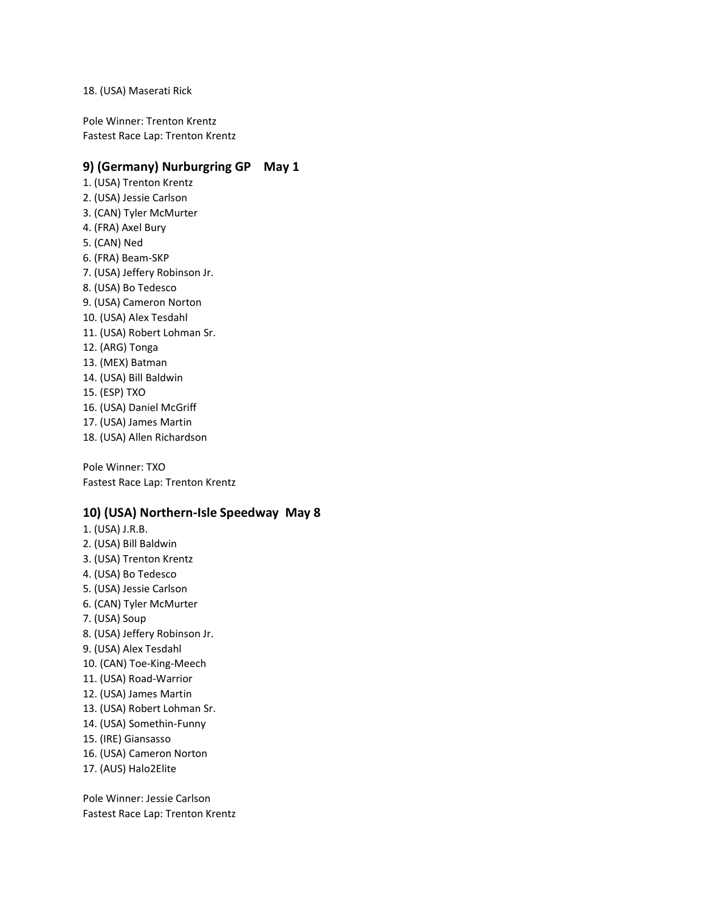#### 18. (USA) Maserati Rick

Pole Winner: Trenton Krentz Fastest Race Lap: Trenton Krentz

#### **9) (Germany) Nurburgring GP May 1**

1. (USA) Trenton Krentz 2. (USA) Jessie Carlson 3. (CAN) Tyler McMurter 4. (FRA) Axel Bury 5. (CAN) Ned 6. (FRA) Beam-SKP 7. (USA) Jeffery Robinson Jr. 8. (USA) Bo Tedesco 9. (USA) Cameron Norton 10. (USA) Alex Tesdahl 11. (USA) Robert Lohman Sr. 12. (ARG) Tonga 13. (MEX) Batman 14. (USA) Bill Baldwin 15. (ESP) TXO 16. (USA) Daniel McGriff 17. (USA) James Martin 18. (USA) Allen Richardson

Pole Winner: TXO Fastest Race Lap: Trenton Krentz

#### **10) (USA) Northern-Isle Speedway May 8**

1. (USA) J.R.B. 2. (USA) Bill Baldwin 3. (USA) Trenton Krentz 4. (USA) Bo Tedesco 5. (USA) Jessie Carlson 6. (CAN) Tyler McMurter 7. (USA) Soup 8. (USA) Jeffery Robinson Jr. 9. (USA) Alex Tesdahl 10. (CAN) Toe-King-Meech 11. (USA) Road-Warrior 12. (USA) James Martin 13. (USA) Robert Lohman Sr. 14. (USA) Somethin-Funny 15. (IRE) Giansasso 16. (USA) Cameron Norton 17. (AUS) Halo2Elite

Pole Winner: Jessie Carlson Fastest Race Lap: Trenton Krentz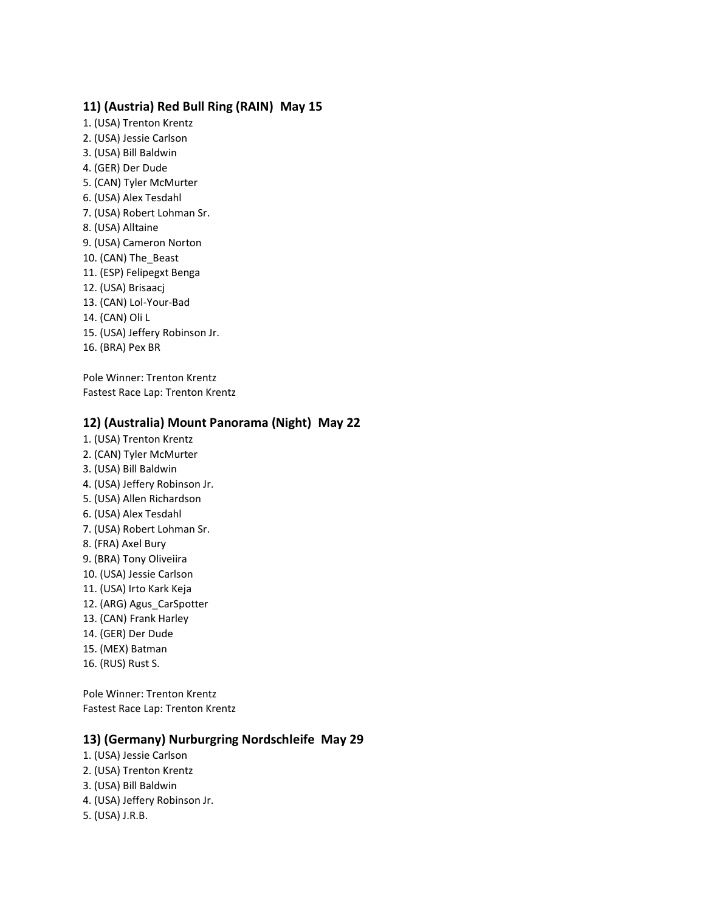## **11) (Austria) Red Bull Ring (RAIN) May 15**

1. (USA) Trenton Krentz 2. (USA) Jessie Carlson 3. (USA) Bill Baldwin 4. (GER) Der Dude 5. (CAN) Tyler McMurter 6. (USA) Alex Tesdahl 7. (USA) Robert Lohman Sr. 8. (USA) Alltaine 9. (USA) Cameron Norton 10. (CAN) The\_Beast 11. (ESP) Felipegxt Benga 12. (USA) Brisaacj 13. (CAN) Lol-Your-Bad 14. (CAN) Oli L 15. (USA) Jeffery Robinson Jr. 16. (BRA) Pex BR

Pole Winner: Trenton Krentz Fastest Race Lap: Trenton Krentz

## **12) (Australia) Mount Panorama (Night) May 22**

- 1. (USA) Trenton Krentz 2. (CAN) Tyler McMurter 3. (USA) Bill Baldwin 4. (USA) Jeffery Robinson Jr. 5. (USA) Allen Richardson 6. (USA) Alex Tesdahl 7. (USA) Robert Lohman Sr. 8. (FRA) Axel Bury 9. (BRA) Tony Oliveiira 10. (USA) Jessie Carlson 11. (USA) Irto Kark Keja 12. (ARG) Agus\_CarSpotter 13. (CAN) Frank Harley
- 14. (GER) Der Dude
- 15. (MEX) Batman
- 16. (RUS) Rust S.

Pole Winner: Trenton Krentz Fastest Race Lap: Trenton Krentz

#### **13) (Germany) Nurburgring Nordschleife May 29**

- 1. (USA) Jessie Carlson 2. (USA) Trenton Krentz
- 3. (USA) Bill Baldwin
- 4. (USA) Jeffery Robinson Jr.
- 5. (USA) J.R.B.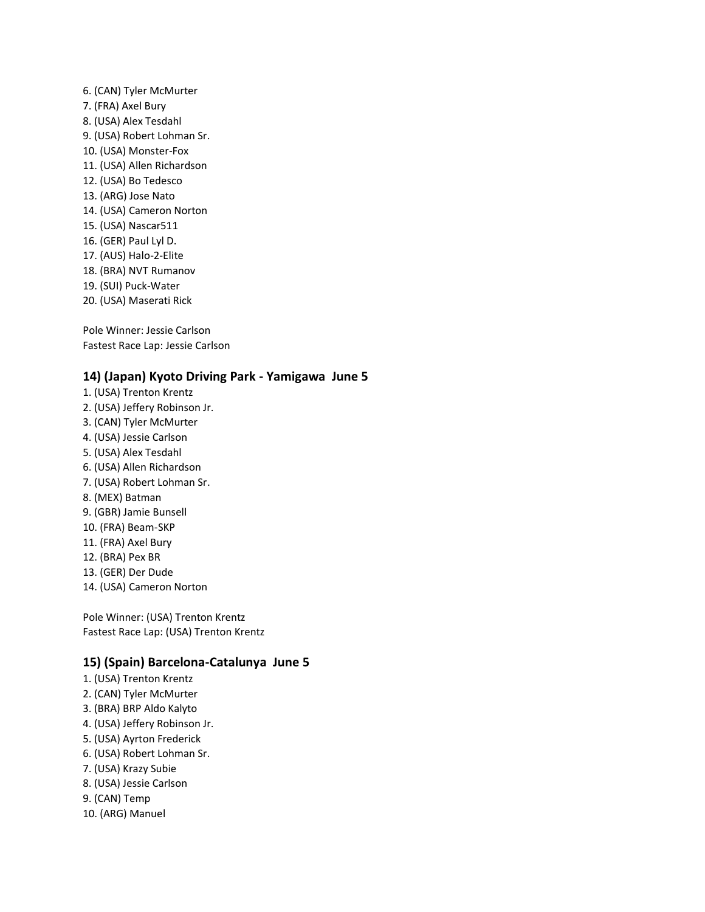6. (CAN) Tyler McMurter 7. (FRA) Axel Bury 8. (USA) Alex Tesdahl 9. (USA) Robert Lohman Sr. 10. (USA) Monster-Fox 11. (USA) Allen Richardson 12. (USA) Bo Tedesco 13. (ARG) Jose Nato 14. (USA) Cameron Norton 15. (USA) Nascar511 16. (GER) Paul Lyl D. 17. (AUS) Halo-2-Elite 18. (BRA) NVT Rumanov 19. (SUI) Puck-Water 20. (USA) Maserati Rick

Pole Winner: Jessie Carlson Fastest Race Lap: Jessie Carlson

#### **14) (Japan) Kyoto Driving Park - Yamigawa June 5**

1. (USA) Trenton Krentz 2. (USA) Jeffery Robinson Jr. 3. (CAN) Tyler McMurter 4. (USA) Jessie Carlson 5. (USA) Alex Tesdahl 6. (USA) Allen Richardson 7. (USA) Robert Lohman Sr. 8. (MEX) Batman 9. (GBR) Jamie Bunsell 10. (FRA) Beam-SKP 11. (FRA) Axel Bury 12. (BRA) Pex BR 13. (GER) Der Dude 14. (USA) Cameron Norton

Pole Winner: (USA) Trenton Krentz Fastest Race Lap: (USA) Trenton Krentz

#### **15) (Spain) Barcelona-Catalunya June 5**

- 1. (USA) Trenton Krentz
- 2. (CAN) Tyler McMurter
- 3. (BRA) BRP Aldo Kalyto
- 4. (USA) Jeffery Robinson Jr.
- 5. (USA) Ayrton Frederick
- 6. (USA) Robert Lohman Sr.
- 7. (USA) Krazy Subie
- 8. (USA) Jessie Carlson
- 9. (CAN) Temp
- 10. (ARG) Manuel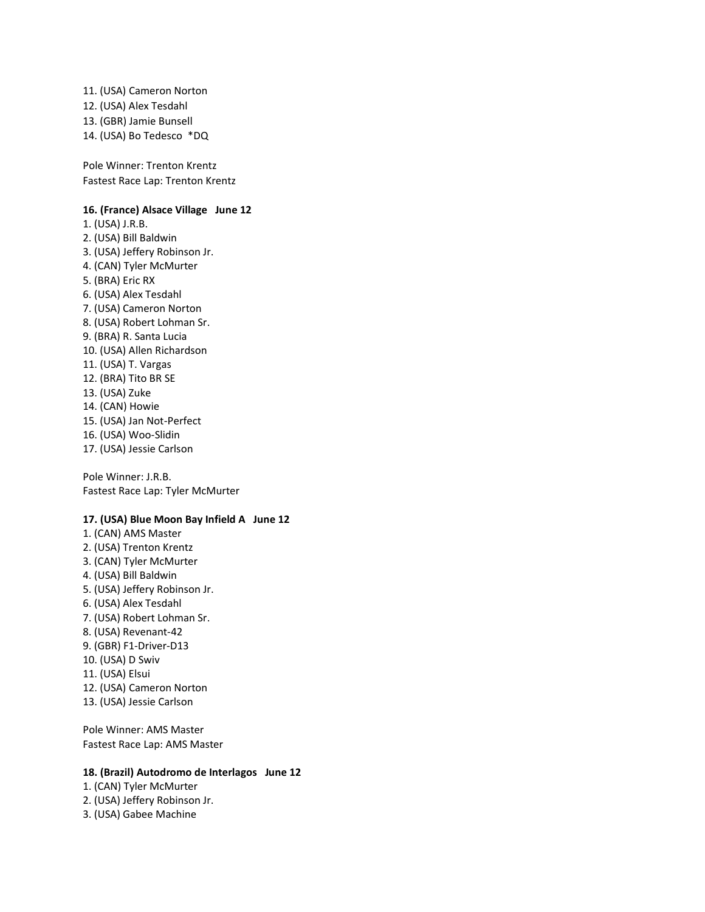11. (USA) Cameron Norton 12. (USA) Alex Tesdahl 13. (GBR) Jamie Bunsell 14. (USA) Bo Tedesco \*DQ

Pole Winner: Trenton Krentz Fastest Race Lap: Trenton Krentz

#### **16. (France) Alsace Village June 12**

1. (USA) J.R.B. 2. (USA) Bill Baldwin 3. (USA) Jeffery Robinson Jr. 4. (CAN) Tyler McMurter 5. (BRA) Eric RX 6. (USA) Alex Tesdahl 7. (USA) Cameron Norton 8. (USA) Robert Lohman Sr. 9. (BRA) R. Santa Lucia 10. (USA) Allen Richardson 11. (USA) T. Vargas 12. (BRA) Tito BR SE 13. (USA) Zuke 14. (CAN) Howie 15. (USA) Jan Not-Perfect 16. (USA) Woo-Slidin 17. (USA) Jessie Carlson

Pole Winner: J.R.B. Fastest Race Lap: Tyler McMurter

#### **17. (USA) Blue Moon Bay Infield A June 12**

1. (CAN) AMS Master 2. (USA) Trenton Krentz 3. (CAN) Tyler McMurter 4. (USA) Bill Baldwin 5. (USA) Jeffery Robinson Jr. 6. (USA) Alex Tesdahl 7. (USA) Robert Lohman Sr. 8. (USA) Revenant-42 9. (GBR) F1-Driver-D13 10. (USA) D Swiv 11. (USA) Elsui 12. (USA) Cameron Norton 13. (USA) Jessie Carlson

Pole Winner: AMS Master Fastest Race Lap: AMS Master

#### **18. (Brazil) Autodromo de Interlagos June 12**

1. (CAN) Tyler McMurter 2. (USA) Jeffery Robinson Jr.

3. (USA) Gabee Machine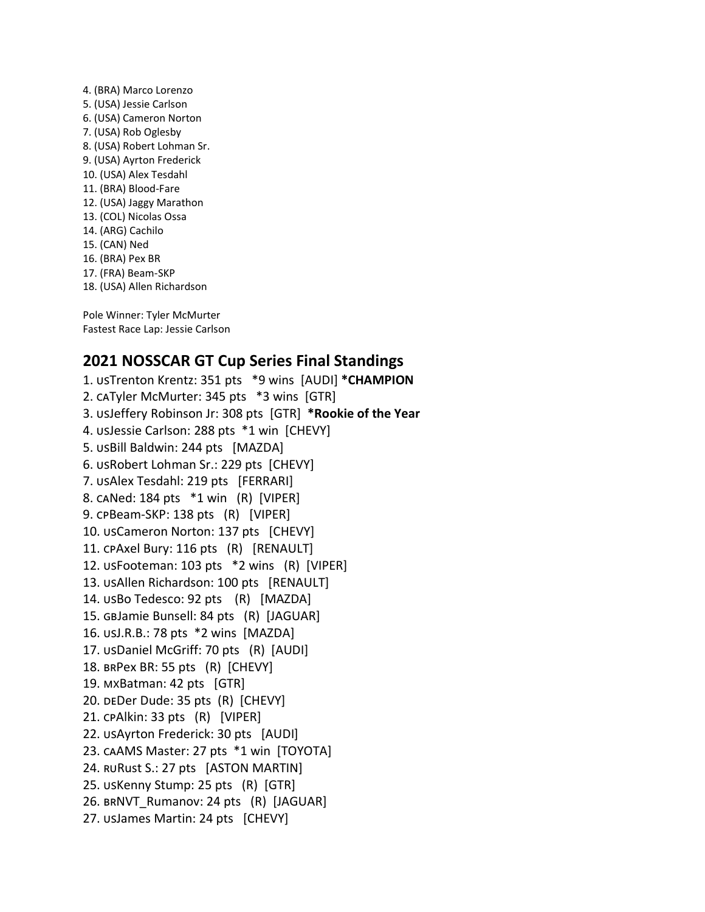4. (BRA) Marco Lorenzo 5. (USA) Jessie Carlson 6. (USA) Cameron Norton 7. (USA) Rob Oglesby 8. (USA) Robert Lohman Sr. 9. (USA) Ayrton Frederick 10. (USA) Alex Tesdahl 11. (BRA) Blood-Fare 12. (USA) Jaggy Marathon 13. (COL) Nicolas Ossa 14. (ARG) Cachilo 15. (CAN) Ned 16. (BRA) Pex BR 17. (FRA) Beam-SKP 18. (USA) Allen Richardson

Pole Winner: Tyler McMurter Fastest Race Lap: Jessie Carlson

# **2021 NOSSCAR GT Cup Series Final Standings**

1. USTrenton Krentz: 351 pts \*9 wins [AUDI] \*CHAMPION 2. CATyler McMurter: 345 pts \*3 wins [GTR] 3. UsJeffery Robinson Jr: 308 pts [GTR] \*Rookie of the Year 4. USJessie Carlson: 288 pts \*1 win [CHEVY] 5. USBill Baldwin: 244 pts [MAZDA] 6. USRobert Lohman Sr.: 229 pts [CHEVY] 7. USAlex Tesdahl: 219 pts [FERRARI] 8. CANed: 184 pts \*1 win (R) [VIPER] 9. cpBeam-SKP: 138 pts (R) [VIPER] 10. usCameron Norton: 137 pts [CHEVY] 11. CPAxel Bury: 116 pts (R) [RENAULT] 12. USFooteman: 103 pts \*2 wins (R) [VIPER] 13. usAllen Richardson: 100 pts [RENAULT] 14. USBo Tedesco: 92 pts (R) [MAZDA] 15. GBJamie Bunsell: 84 pts (R) [JAGUAR] 16. usJ.R.B.: 78 pts \*2 wins [MAZDA] 17. USDaniel McGriff: 70 pts (R) [AUDI] 18. BRPex BR: 55 pts (R) [CHEVY] 19. MxBatman: 42 pts [GTR] 20. DEDer Dude: 35 pts (R) [CHEVY] 21. CPAlkin: 33 pts (R) [VIPER] 22. USAyrton Frederick: 30 pts [AUDI] 23. CAAMS Master: 27 pts \*1 win [TOYOTA] 24. RURUSt S.: 27 pts [ASTON MARTIN] 25. USKenny Stump: 25 pts (R) [GTR] 26. BRNVT\_Rumanov: 24 pts (R) [JAGUAR] 27. usJames Martin: 24 pts [CHEVY]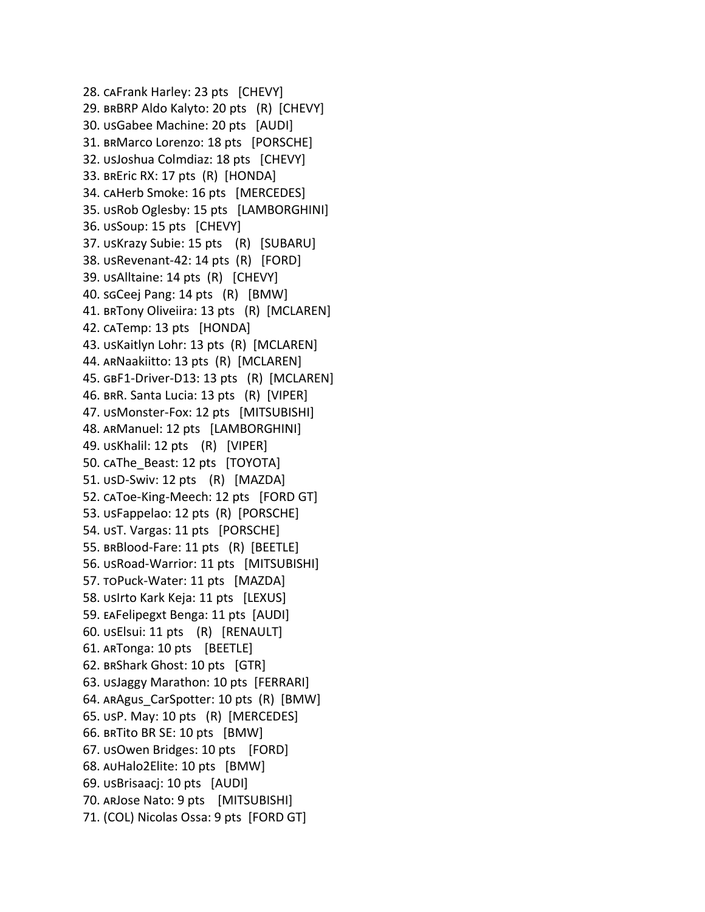28. CAFrank Harley: 23 pts [CHEVY] 29. BRBRP Aldo Kalyto: 20 pts (R) [CHEVY] 30. usGabee Machine: 20 pts [AUDI] 31. BRMarco Lorenzo: 18 pts [PORSCHE] 32. usJoshua Colmdiaz: 18 pts [CHEVY] 33. BRETIC RX: 17 pts (R) [HONDA] 34. CAHerb Smoke: 16 pts [MERCEDES] 35. USRob Oglesby: 15 pts [LAMBORGHINI] 36. usSoup: 15 pts [CHEVY] 37. USKrazy Subie: 15 pts (R) [SUBARU] 38. USRevenant-42: 14 pts (R) [FORD] 39. usAlltaine: 14 pts (R) [CHEVY] 40. sgCeej Pang: 14 pts (R) [BMW] 41. BRTony Oliveiira: 13 pts (R) [MCLAREN] 42. CATemp: 13 pts [HONDA] 43. USKaitlyn Lohr: 13 pts (R) [MCLAREN] 44. ARNaakiitto: 13 pts (R) [MCLAREN] 45. GBF1-Driver-D13: 13 pts (R) [MCLAREN] 46. BRR. Santa Lucia: 13 pts (R) [VIPER] 47. usMonster-Fox: 12 pts [MITSUBISHI] 48. ARManuel: 12 pts [LAMBORGHINI] 49. usKhalil: 12 pts (R) [VIPER] 50. CAThe Beast: 12 pts [TOYOTA] 51. USD-Swiv: 12 pts (R) [MAZDA] 52. CAToe-King-Meech: 12 pts [FORD GT] 53. USFappelao: 12 pts (R) [PORSCHE] 54. UST. Vargas: 11 pts [PORSCHE] 55. BRBlood-Fare: 11 pts (R) [BEETLE] 56. usRoad-Warrior: 11 pts [MITSUBISHI] 57. TOPuck-Water: 11 pts [MAZDA] 58. usirto Kark Keja: 11 pts [LEXUS] 59. EAFelipegxt Benga: 11 pts [AUDI] 60. usElsui: 11 pts (R) [RENAULT] 61. ARTonga: 10 pts [BEETLE] 62. Shark Ghost: 10 pts [GTR] 63. UsJaggy Marathon: 10 pts [FERRARI] 64. ARAgus CarSpotter: 10 pts (R) [BMW] 65. usP. May: 10 pts (R) [MERCEDES] 66. BRTito BR SE: 10 pts  $[BMW]$ 67. USO wen Bridges: 10 pts [FORD] 68. AUHalo2Elite: 10 pts [BMW] 69. usBrisaacj: 10 pts [AUDI] 70. ARJOSE Nato: 9 pts [MITSUBISHI] 71. (COL) Nicolas Ossa: 9 pts [FORD GT]